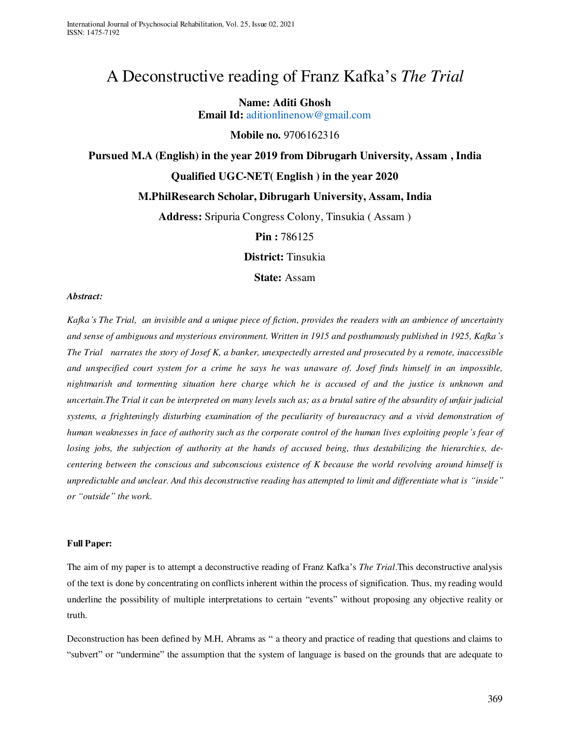# A Deconstructive reading of Franz Kafka's *The Trial*

### **Name: Aditi Ghosh**

**Email Id:** [aditionlinenow@gmail.com](mailto:aditionlinenow@gmail.com)

# **Mobile no.** 9706162316

# **Pursued M.A (English) in the year 2019 from Dibrugarh University, Assam , India**

## **Qualified UGC-NET( English ) in the year 2020**

# **M.PhilResearch Scholar, Dibrugarh University, Assam, India**

**Address:** Sripuria Congress Colony, Tinsukia ( Assam )

**Pin :** 786125

**District:** Tinsukia

**State:** Assam

#### *Abstract:*

*Kafka's The Trial, an invisible and a unique piece of fiction, provides the readers with an ambience of uncertainty and sense of ambiguous and mysterious environment. Written in 1915 and posthumously published in 1925, Kafka's The Trial narrates the story of Josef K, a banker, unexpectedly arrested and prosecuted by a remote, inaccessible and unspecified court system for a crime he says he was unaware of. Josef finds himself in an impossible, nightmarish and tormenting situation here charge which he is accused of and the justice is unknown and uncertain.The Trial it can be interpreted on many levels such as; as a brutal satire of the absurdity of unfair judicial systems, a frighteningly disturbing examination of the peculiarity of bureaucracy and a vivid demonstration of human weaknesses in face of authority such as the corporate control of the human lives exploiting people's fear of losing jobs, the subjection of authority at the hands of accused being, thus destabilizing the hierarchies, decentering between the conscious and subconscious existence of K because the world revolving around himself is unpredictable and unclear. And this deconstructive reading has attempted to limit and differentiate what is "inside" or "outside" the work.* 

#### **Full Paper:**

The aim of my paper is to attempt a deconstructive reading of Franz Kafka's *The Trial*.This deconstructive analysis of the text is done by concentrating on conflicts inherent within the process of signification. Thus, my reading would underline the possibility of multiple interpretations to certain "events" without proposing any objective reality or truth.

Deconstruction has been defined by M.H, Abrams as " a theory and practice of reading that questions and claims to "subvert" or "undermine" the assumption that the system of language is based on the grounds that are adequate to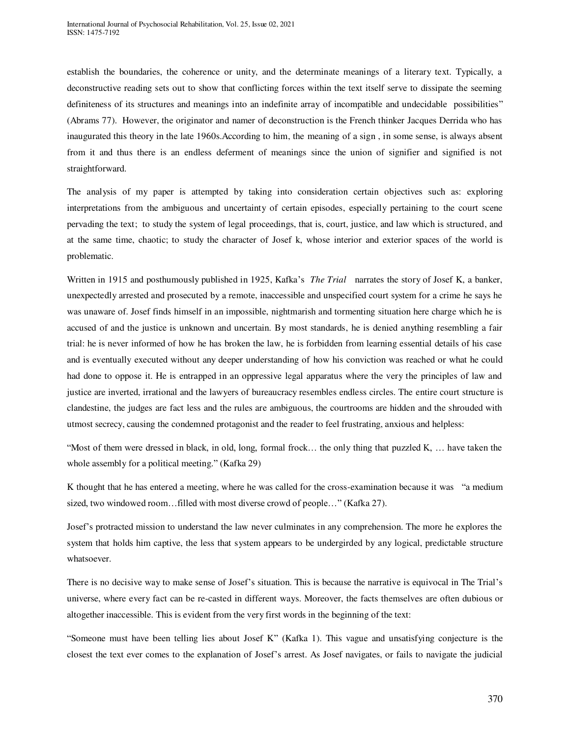establish the boundaries, the coherence or unity, and the determinate meanings of a literary text. Typically, a deconstructive reading sets out to show that conflicting forces within the text itself serve to dissipate the seeming definiteness of its structures and meanings into an indefinite array of incompatible and undecidable possibilities" (Abrams 77). However, the originator and namer of deconstruction is the French thinker Jacques Derrida who has inaugurated this theory in the late 1960s.According to him, the meaning of a sign , in some sense, is always absent from it and thus there is an endless deferment of meanings since the union of signifier and signified is not straightforward.

The analysis of my paper is attempted by taking into consideration certain objectives such as: exploring interpretations from the ambiguous and uncertainty of certain episodes, especially pertaining to the court scene pervading the text; to study the system of legal proceedings, that is, court, justice, and law which is structured, and at the same time, chaotic; to study the character of Josef k, whose interior and exterior spaces of the world is problematic.

Written in 1915 and posthumously published in 1925, Kafka's *The Trial* narrates the story of Josef K, a banker, unexpectedly arrested and prosecuted by a remote, inaccessible and unspecified court system for a crime he says he was unaware of. Josef finds himself in an impossible, nightmarish and tormenting situation here charge which he is accused of and the justice is unknown and uncertain. By most standards, he is denied anything resembling a fair trial: he is never informed of how he has broken the law, he is forbidden from learning essential details of his case and is eventually executed without any deeper understanding of how his conviction was reached or what he could had done to oppose it. He is entrapped in an oppressive legal apparatus where the very the principles of law and justice are inverted, irrational and the lawyers of bureaucracy resembles endless circles. The entire court structure is clandestine, the judges are fact less and the rules are ambiguous, the courtrooms are hidden and the shrouded with utmost secrecy, causing the condemned protagonist and the reader to feel frustrating, anxious and helpless:

"Most of them were dressed in black, in old, long, formal frock… the only thing that puzzled K, … have taken the whole assembly for a political meeting." (Kafka 29)

K thought that he has entered a meeting, where he was called for the cross-examination because it was "a medium sized, two windowed room…filled with most diverse crowd of people…" (Kafka 27).

Josef's protracted mission to understand the law never culminates in any comprehension. The more he explores the system that holds him captive, the less that system appears to be undergirded by any logical, predictable structure whatsoever.

There is no decisive way to make sense of Josef's situation. This is because the narrative is equivocal in The Trial's universe, where every fact can be re-casted in different ways. Moreover, the facts themselves are often dubious or altogether inaccessible. This is evident from the very first words in the beginning of the text:

"Someone must have been telling lies about Josef K" (Kafka 1). This vague and unsatisfying conjecture is the closest the text ever comes to the explanation of Josef's arrest. As Josef navigates, or fails to navigate the judicial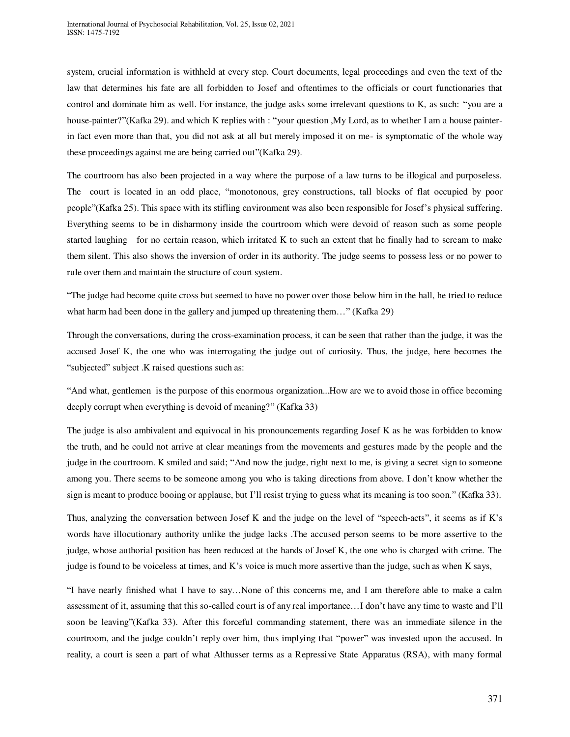system, crucial information is withheld at every step. Court documents, legal proceedings and even the text of the law that determines his fate are all forbidden to Josef and oftentimes to the officials or court functionaries that control and dominate him as well. For instance, the judge asks some irrelevant questions to K, as such: "you are a house-painter?"(Kafka 29). and which K replies with : "your question ,My Lord, as to whether I am a house painterin fact even more than that, you did not ask at all but merely imposed it on me- is symptomatic of the whole way these proceedings against me are being carried out"(Kafka 29).

The courtroom has also been projected in a way where the purpose of a law turns to be illogical and purposeless. The court is located in an odd place, "monotonous, grey constructions, tall blocks of flat occupied by poor people"(Kafka 25). This space with its stifling environment was also been responsible for Josef's physical suffering. Everything seems to be in disharmony inside the courtroom which were devoid of reason such as some people started laughing for no certain reason, which irritated K to such an extent that he finally had to scream to make them silent. This also shows the inversion of order in its authority. The judge seems to possess less or no power to rule over them and maintain the structure of court system.

"The judge had become quite cross but seemed to have no power over those below him in the hall, he tried to reduce what harm had been done in the gallery and jumped up threatening them…" (Kafka 29)

Through the conversations, during the cross-examination process, it can be seen that rather than the judge, it was the accused Josef K, the one who was interrogating the judge out of curiosity. Thus, the judge, here becomes the "subjected" subject .K raised questions such as:

"And what, gentlemen is the purpose of this enormous organization...How are we to avoid those in office becoming deeply corrupt when everything is devoid of meaning?" (Kafka 33)

The judge is also ambivalent and equivocal in his pronouncements regarding Josef K as he was forbidden to know the truth, and he could not arrive at clear meanings from the movements and gestures made by the people and the judge in the courtroom. K smiled and said; "And now the judge, right next to me, is giving a secret sign to someone among you. There seems to be someone among you who is taking directions from above. I don't know whether the sign is meant to produce booing or applause, but I'll resist trying to guess what its meaning is too soon." (Kafka 33).

Thus, analyzing the conversation between Josef K and the judge on the level of "speech-acts", it seems as if K's words have illocutionary authority unlike the judge lacks .The accused person seems to be more assertive to the judge, whose authorial position has been reduced at the hands of Josef K, the one who is charged with crime. The judge is found to be voiceless at times, and K's voice is much more assertive than the judge, such as when K says,

"I have nearly finished what I have to say…None of this concerns me, and I am therefore able to make a calm assessment of it, assuming that this so-called court is of any real importance…I don't have any time to waste and I'll soon be leaving"(Kafka 33). After this forceful commanding statement, there was an immediate silence in the courtroom, and the judge couldn't reply over him, thus implying that "power" was invested upon the accused. In reality, a court is seen a part of what Althusser terms as a Repressive State Apparatus (RSA), with many formal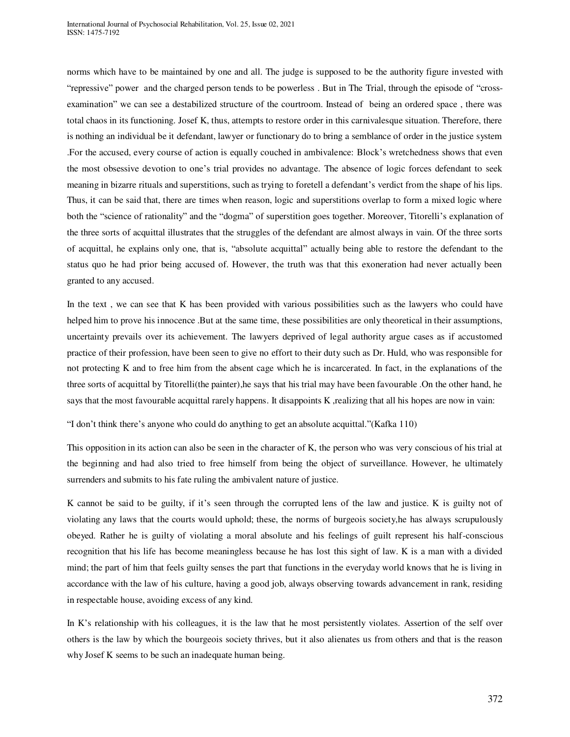norms which have to be maintained by one and all. The judge is supposed to be the authority figure invested with "repressive" power and the charged person tends to be powerless . But in The Trial, through the episode of "crossexamination" we can see a destabilized structure of the courtroom. Instead of being an ordered space , there was total chaos in its functioning. Josef K, thus, attempts to restore order in this carnivalesque situation. Therefore, there is nothing an individual be it defendant, lawyer or functionary do to bring a semblance of order in the justice system .For the accused, every course of action is equally couched in ambivalence: Block's wretchedness shows that even the most obsessive devotion to one's trial provides no advantage. The absence of logic forces defendant to seek meaning in bizarre rituals and superstitions, such as trying to foretell a defendant's verdict from the shape of his lips. Thus, it can be said that, there are times when reason, logic and superstitions overlap to form a mixed logic where both the "science of rationality" and the "dogma" of superstition goes together. Moreover, Titorelli's explanation of the three sorts of acquittal illustrates that the struggles of the defendant are almost always in vain. Of the three sorts of acquittal, he explains only one, that is, "absolute acquittal" actually being able to restore the defendant to the status quo he had prior being accused of. However, the truth was that this exoneration had never actually been granted to any accused.

In the text , we can see that K has been provided with various possibilities such as the lawyers who could have helped him to prove his innocence .But at the same time, these possibilities are only theoretical in their assumptions, uncertainty prevails over its achievement. The lawyers deprived of legal authority argue cases as if accustomed practice of their profession, have been seen to give no effort to their duty such as Dr. Huld, who was responsible for not protecting K and to free him from the absent cage which he is incarcerated. In fact, in the explanations of the three sorts of acquittal by Titorelli(the painter),he says that his trial may have been favourable .On the other hand, he says that the most favourable acquittal rarely happens. It disappoints K ,realizing that all his hopes are now in vain:

"I don't think there's anyone who could do anything to get an absolute acquittal."(Kafka 110)

This opposition in its action can also be seen in the character of K, the person who was very conscious of his trial at the beginning and had also tried to free himself from being the object of surveillance. However, he ultimately surrenders and submits to his fate ruling the ambivalent nature of justice.

K cannot be said to be guilty, if it's seen through the corrupted lens of the law and justice. K is guilty not of violating any laws that the courts would uphold; these, the norms of burgeois society,he has always scrupulously obeyed. Rather he is guilty of violating a moral absolute and his feelings of guilt represent his half-conscious recognition that his life has become meaningless because he has lost this sight of law. K is a man with a divided mind; the part of him that feels guilty senses the part that functions in the everyday world knows that he is living in accordance with the law of his culture, having a good job, always observing towards advancement in rank, residing in respectable house, avoiding excess of any kind.

In K's relationship with his colleagues, it is the law that he most persistently violates. Assertion of the self over others is the law by which the bourgeois society thrives, but it also alienates us from others and that is the reason why Josef K seems to be such an inadequate human being.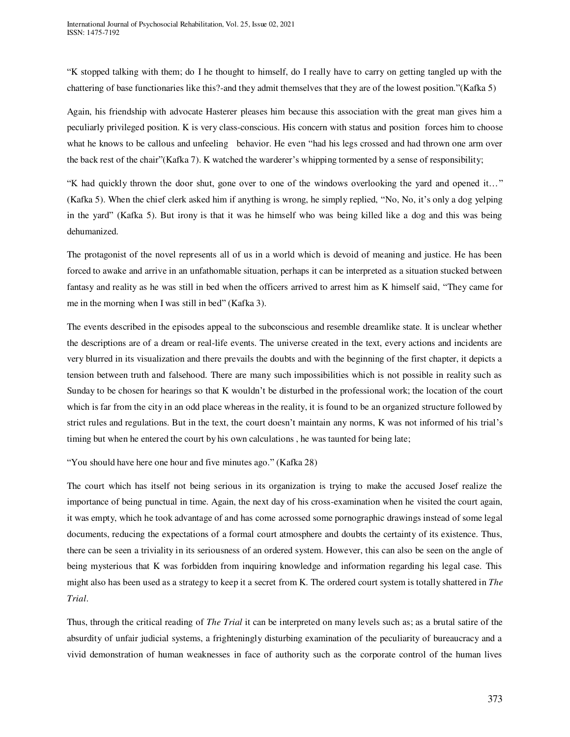"K stopped talking with them; do I he thought to himself, do I really have to carry on getting tangled up with the chattering of base functionaries like this?-and they admit themselves that they are of the lowest position."(Kafka 5)

Again, his friendship with advocate Hasterer pleases him because this association with the great man gives him a peculiarly privileged position. K is very class-conscious. His concern with status and position forces him to choose what he knows to be callous and unfeeling behavior. He even "had his legs crossed and had thrown one arm over the back rest of the chair"(Kafka 7). K watched the warderer's whipping tormented by a sense of responsibility;

"K had quickly thrown the door shut, gone over to one of the windows overlooking the yard and opened it…" (Kafka 5). When the chief clerk asked him if anything is wrong, he simply replied, "No, No, it's only a dog yelping in the yard" (Kafka 5). But irony is that it was he himself who was being killed like a dog and this was being dehumanized.

The protagonist of the novel represents all of us in a world which is devoid of meaning and justice. He has been forced to awake and arrive in an unfathomable situation, perhaps it can be interpreted as a situation stucked between fantasy and reality as he was still in bed when the officers arrived to arrest him as K himself said, "They came for me in the morning when I was still in bed" (Kafka 3).

The events described in the episodes appeal to the subconscious and resemble dreamlike state. It is unclear whether the descriptions are of a dream or real-life events. The universe created in the text, every actions and incidents are very blurred in its visualization and there prevails the doubts and with the beginning of the first chapter, it depicts a tension between truth and falsehood. There are many such impossibilities which is not possible in reality such as Sunday to be chosen for hearings so that K wouldn't be disturbed in the professional work; the location of the court which is far from the city in an odd place whereas in the reality, it is found to be an organized structure followed by strict rules and regulations. But in the text, the court doesn't maintain any norms, K was not informed of his trial's timing but when he entered the court by his own calculations , he was taunted for being late;

"You should have here one hour and five minutes ago." (Kafka 28)

The court which has itself not being serious in its organization is trying to make the accused Josef realize the importance of being punctual in time. Again, the next day of his cross-examination when he visited the court again, it was empty, which he took advantage of and has come acrossed some pornographic drawings instead of some legal documents, reducing the expectations of a formal court atmosphere and doubts the certainty of its existence. Thus, there can be seen a triviality in its seriousness of an ordered system. However, this can also be seen on the angle of being mysterious that K was forbidden from inquiring knowledge and information regarding his legal case. This might also has been used as a strategy to keep it a secret from K. The ordered court system is totally shattered in *The Trial*.

Thus, through the critical reading of *The Trial* it can be interpreted on many levels such as; as a brutal satire of the absurdity of unfair judicial systems, a frighteningly disturbing examination of the peculiarity of bureaucracy and a vivid demonstration of human weaknesses in face of authority such as the corporate control of the human lives